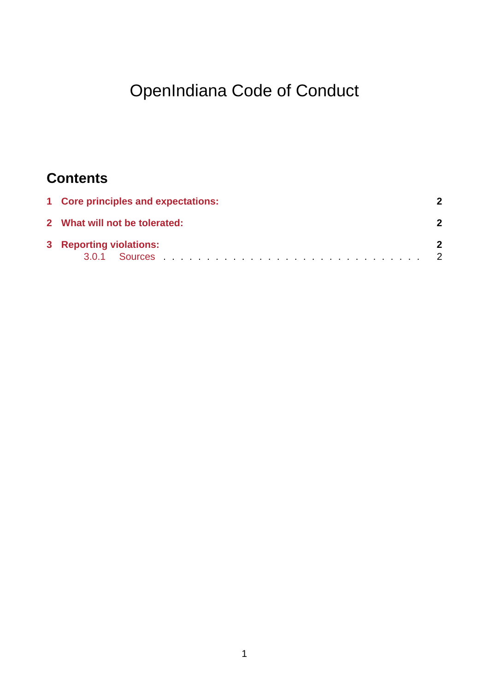# OpenIndiana Code of Conduct

## **Contents**

| 1 Core principles and expectations: |  |
|-------------------------------------|--|
| 2 What will not be tolerated:       |  |
| 3 Reporting violations:             |  |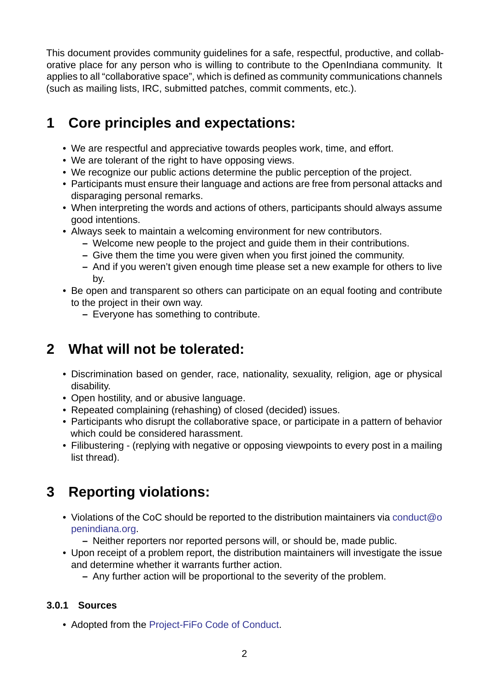This document provides community guidelines for a safe, respectful, productive, and collaborative place for any person who is willing to contribute to the OpenIndiana community. It applies to all "collaborative space", which is defined as community communications channels (such as mailing lists, IRC, submitted patches, commit comments, etc.).

#### **1 Core principles and expectations:**

- <span id="page-1-0"></span>• We are respectful and appreciative towards peoples work, time, and effort.
- We are tolerant of the right to have opposing views.
- We recognize our public actions determine the public perception of the project.
- Participants must ensure their language and actions are free from personal attacks and disparaging personal remarks.
- When interpreting the words and actions of others, participants should always assume good intentions.
- Always seek to maintain a welcoming environment for new contributors.
	- **–** Welcome new people to the project and guide them in their contributions.
	- **–** Give them the time you were given when you first joined the community.
	- **–** And if you weren't given enough time please set a new example for others to live by.
- Be open and transparent so others can participate on an equal footing and contribute to the project in their own way.
	- **–** Everyone has something to contribute.

#### **2 What will not be tolerated:**

- <span id="page-1-1"></span>• Discrimination based on gender, race, nationality, sexuality, religion, age or physical disability.
- Open hostility, and or abusive language.
- Repeated complaining (rehashing) of closed (decided) issues.
- Participants who disrupt the collaborative space, or participate in a pattern of behavior which could be considered harassment.
- Filibustering (replying with negative or opposing viewpoints to every post in a mailing list thread).

### **3 Reporting violations:**

- Violations of the CoC should be reported to the distribution maintainers via conduct@o penindiana.org.
	- **–** Neither reporters nor reported persons will, or should be, made public.
- Upon receipt of a problem report, the distribution maintainers will investiga[te the issue](mailto:conduct@openindiana.org) [and determine](mailto:conduct@openindiana.org) whether it warrants further action.
	- **–** Any further action will be proportional to the severity of the problem.

#### **3.0.1 Sources**

• Adopted from the Project-FiFo Code of Conduct.